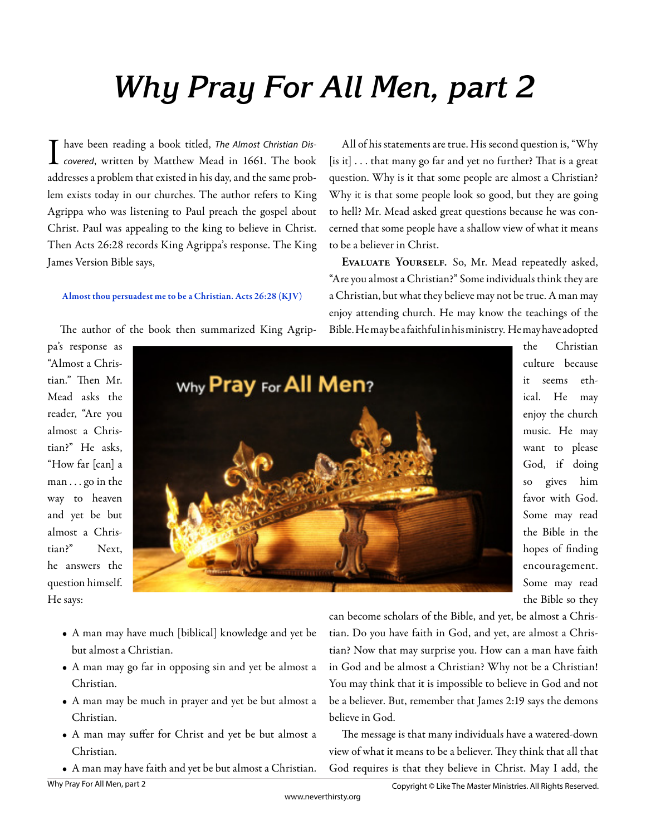## **Why Pray For All Men, part 2**

have been reading a book titled, The Almost Christian Dis-L covered, written by Matthew Mead in 1661. The book addresses a problem that existed in his day, and the same problem exists today in our churches. The author refers to King Agrippa who was listening to Paul preach the gospel about Christ. Paul was appealing to the king to believe in Christ. Then Acts 26:28 records King Agrippa's response. The King James Version Bible says,

## Almost thou persuadest me to be a Christian. Acts 26:28 (KJV)

The author of the book then summarized King Agrip-

All of his statements are true. His second question is, "Why [is it] . . . that many go far and yet no further? That is a great question. Why is it that some people are almost a Christian? Why it is that some people look so good, but they are going to hell? Mr. Mead asked great questions because he was concerned that some people have a shallow view of what it means to be a believer in Christ.

**Evaluate Yourself.** So, Mr. Mead repeatedly asked, "Are you almost a Christian?" Some individuals think they are a Christian, but what they believe may not be true. A man may enjoy attending church. He may know the teachings of the Bible. He may be a faithful in his ministry. He may have adopted

pa's response as "Almost a Christian." Then Mr. Mead asks the reader, "Are you almost a Christian?" He asks, "How far [can] a man . . . go in the way to heaven and yet be but almost a Christian?" Next, he answers the question himself. He says:



the Christian culture because it seems ethical. He may enjoy the church music. He may want to please God, if doing so gives him favor with God. Some may read the Bible in the hopes of finding encouragement. Some may read the Bible so they

- A man may have much [biblical] knowledge and yet be but almost a Christian.
- A man may go far in opposing sin and yet be almost a Christian.
- A man may be much in prayer and yet be but almost a Christian.
- A man may suffer for Christ and yet be but almost a Christian.
- A man may have faith and yet be but almost a Christian.

can become scholars of the Bible, and yet, be almost a Christian. Do you have faith in God, and yet, are almost a Christian? Now that may surprise you. How can a man have faith in God and be almost a Christian? Why not be a Christian! You may think that it is impossible to believe in God and not be a believer. But, remember that James 2:19 says the demons believe in God.

The message is that many individuals have a watered-down view of what it means to be a believer. They think that all that God requires is that they believe in Christ. May I add, the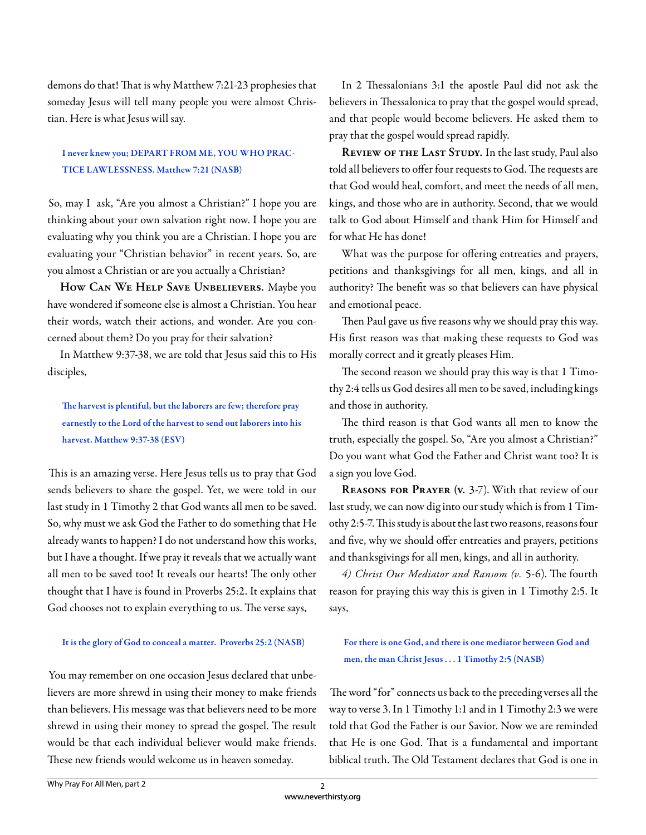demons do that! That is why Matthew 7:21-23 prophesies that someday Jesus will tell many people you were almost Christian. Here is what Jesus will say.

## I never knew you; DEPART FROM ME, YOU WHO PRAC-TICE LAWLESSNESS. Matthew 7:21 (NASB)

So, may I ask, "Are you almost a Christian?" I hope you are thinking about your own salvation right now. I hope you are evaluating why you think you are a Christian. I hope you are evaluating your "Christian behavior" in recent years. So, are you almost a Christian or are you actually a Christian?

**How Can We Help Save Unbelievers.** Maybe you have wondered if someone else is almost a Christian. You hear their words, watch their actions, and wonder. Are you concerned about them? Do you pray for their salvation?

In Matthew 9:37-38, we are told that Jesus said this to His disciples,

The harvest is plentiful, but the laborers are few; therefore pray earnestly to the Lord of the harvest to send out laborers into his harvest. Matthew 9:37-38 (ESV)

This is an amazing verse. Here Jesus tells us to pray that God sends believers to share the gospel. Yet, we were told in our last study in 1 Timothy 2 that God wants all men to be saved. So, why must we ask God the Father to do something that He already wants to happen? I do not understand how this works, but I have a thought. If we pray it reveals that we actually want all men to be saved too! It reveals our hearts! The only other thought that I have is found in Proverbs 25:2. It explains that God chooses not to explain everything to us. The verse says,

## It is the glory of God to conceal a matter. Proverbs 25:2 (NASB)

You may remember on one occasion Jesus declared that unbelievers are more shrewd in using their money to make friends than believers. His message was that believers need to be more shrewd in using their money to spread the gospel. The result would be that each individual believer would make friends. These new friends would welcome us in heaven someday.

In 2 Thessalonians 3:1 the apostle Paul did not ask the believers in Thessalonica to pray that the gospel would spread, and that people would become believers. He asked them to pray that the gospel would spread rapidly.

**Review of the Last Study.** In the last study, Paul also told all believers to offer four requests to God. The requests are that God would heal, comfort, and meet the needs of all men, kings, and those who are in authority. Second, that we would talk to God about Himself and thank Him for Himself and for what He has done!

What was the purpose for offering entreaties and prayers, petitions and thanksgivings for all men, kings, and all in authority? The benefit was so that believers can have physical and emotional peace.

Then Paul gave us five reasons why we should pray this way. His first reason was that making these requests to God was morally correct and it greatly pleases Him.

The second reason we should pray this way is that 1 Timothy 2:4 tells us God desires all men to be saved, including kings and those in authority.

The third reason is that God wants all men to know the truth, especially the gospel. So, "Are you almost a Christian?" Do you want what God the Father and Christ want too? It is a sign you love God.

**Reasons for Prayer (v.** 3-7). With that review of our last study, we can now dig into our study which is from 1 Timothy 2:5-7. This study is about the last two reasons, reasons four and five, why we should offer entreaties and prayers, petitions and thanksgivings for all men, kings, and all in authority.

4) Christ Our Mediator and Ransom (v. 5-6). The fourth reason for praying this way this is given in 1 Timothy 2:5. It says,

For there is one God, and there is one mediator between God and men, the man Christ Jesus . . . 1 Timothy 2:5 (NASB)

The word "for" connects us back to the preceding verses all the way to verse 3. In 1 Timothy 1:1 and in 1 Timothy 2:3 we were told that God the Father is our Savior. Now we are reminded that He is one God. That is a fundamental and important biblical truth. The Old Testament declares that God is one in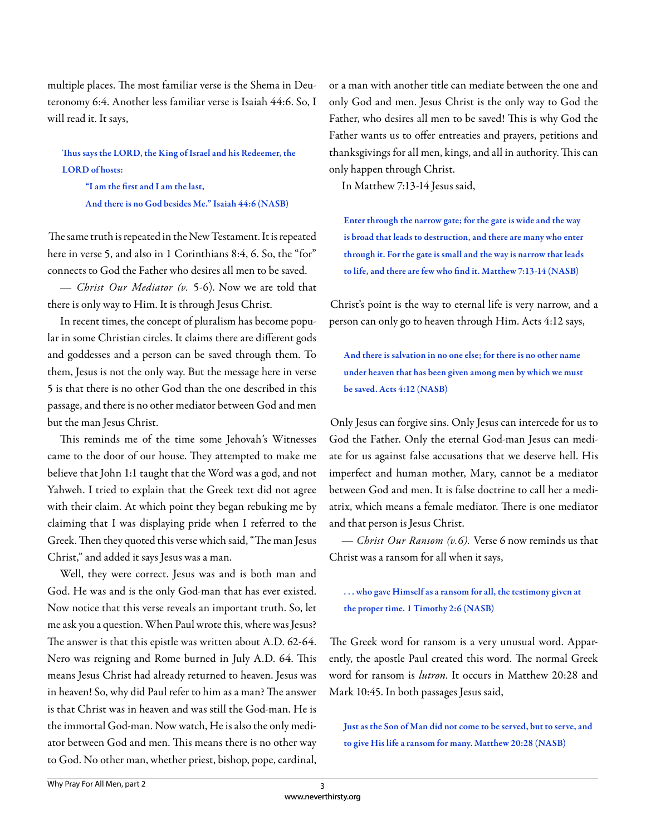multiple places. The most familiar verse is the Shema in Deuteronomy 6:4. Another less familiar verse is Isaiah 44:6. So, I will read it. It says,

Thus says the LORD, the King of Israel and his Redeemer, the LORD of hosts:

"I am the first and I am the last, And there is no God besides Me." Isaiah 44:6 (NASB)

The same truth is repeated in the New Testament. It is repeated here in verse 5, and also in 1 Corinthians 8:4, 6. So, the "for" connects to God the Father who desires all men to be saved.

*— Christ Our Mediator (v.* 5-6). Now we are told that there is only way to Him. It is through Jesus Christ.

In recent times, the concept of pluralism has become popular in some Christian circles. It claims there are different gods and goddesses and a person can be saved through them. To them, Jesus is not the only way. But the message here in verse 5 is that there is no other God than the one described in this passage, and there is no other mediator between God and men but the man Jesus Christ.

This reminds me of the time some Jehovah's Witnesses came to the door of our house. They attempted to make me believe that John 1:1 taught that the Word was a god, and not Yahweh. I tried to explain that the Greek text did not agree with their claim. At which point they began rebuking me by claiming that I was displaying pride when I referred to the Greek. Then they quoted this verse which said, "The man Jesus Christ," and added it says Jesus was a man.

Well, they were correct. Jesus was and is both man and God. He was and is the only God-man that has ever existed. Now notice that this verse reveals an important truth. So, let me ask you a question. When Paul wrote this, where was Jesus? The answer is that this epistle was written about A.D. 62-64. Nero was reigning and Rome burned in July A.D. 64. This means Jesus Christ had already returned to heaven. Jesus was in heaven! So, why did Paul refer to him as a man? The answer is that Christ was in heaven and was still the God-man. He is the immortal God-man. Now watch, He is also the only mediator between God and men. This means there is no other way to God. No other man, whether priest, bishop, pope, cardinal,

or a man with another title can mediate between the one and only God and men. Jesus Christ is the only way to God the Father, who desires all men to be saved! This is why God the Father wants us to offer entreaties and prayers, petitions and thanksgivings for all men, kings, and all in authority. This can only happen through Christ.

In Matthew 7:13-14 Jesus said,

Enter through the narrow gate; for the gate is wide and the way is broad that leads to destruction, and there are many who enter through it. For the gate is small and the way is narrow that leads to life, and there are few who find it. Matthew 7:13-14 (NASB)

Christ's point is the way to eternal life is very narrow, and a person can only go to heaven through Him. Acts 4:12 says,

And there is salvation in no one else; for there is no other name under heaven that has been given among men by which we must be saved. Acts 4:12 (NASB)

Only Jesus can forgive sins. Only Jesus can intercede for us to God the Father. Only the eternal God-man Jesus can mediate for us against false accusations that we deserve hell. His imperfect and human mother, Mary, cannot be a mediator between God and men. It is false doctrine to call her a mediatrix, which means a female mediator. There is one mediator and that person is Jesus Christ.

*— Christ Our Ransom (v.6).* Verse 6 now reminds us that Christ was a ransom for all when it says,

. . . who gave Himself as a ransom for all, the testimony given at the proper time. 1 Timothy 2:6 (NASB)

The Greek word for ransom is a very unusual word. Apparently, the apostle Paul created this word. The normal Greek word for ransom is *lutron*. It occurs in Matthew 20:28 and Mark 10:45. In both passages Jesus said,

Just as the Son of Man did not come to be served, but to serve, and to give His life a ransom for many. Matthew 20:28 (NASB)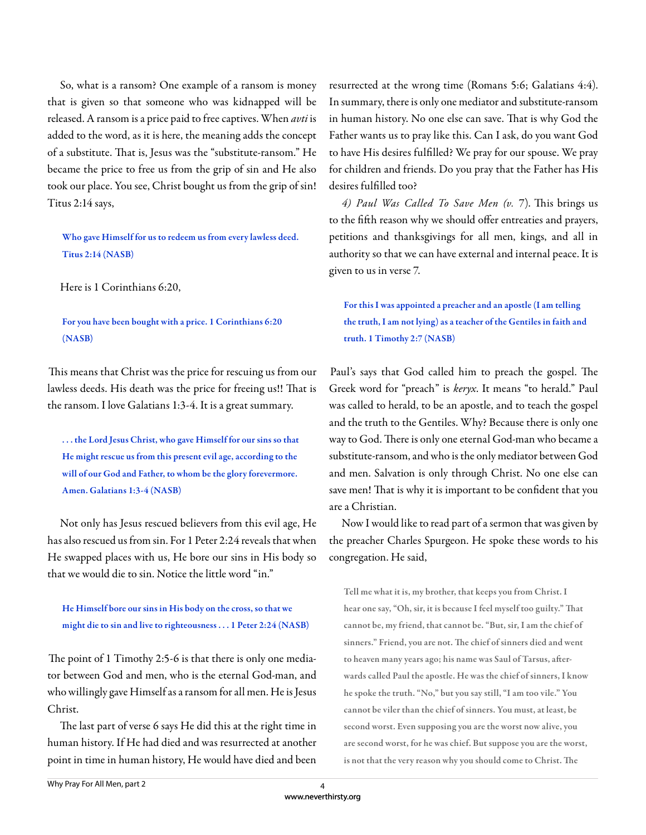So, what is a ransom? One example of a ransom is money that is given so that someone who was kidnapped will be released. A ransom is a price paid to free captives. When *avti* is added to the word, as it is here, the meaning adds the concept of a substitute. That is, Jesus was the "substitute-ransom." He became the price to free us from the grip of sin and He also took our place. You see, Christ bought us from the grip of sin! Titus 2:14 says,

Who gave Himself for us to redeem us from every lawless deed. Titus 2:14 (NASB)

Here is 1 Corinthians 6:20,

For you have been bought with a price. 1 Corinthians 6:20 (NASB)

This means that Christ was the price for rescuing us from our lawless deeds. His death was the price for freeing us!! That is the ransom. I love Galatians 1:3-4. It is a great summary.

. . . the Lord Jesus Christ, who gave Himself for our sins so that He might rescue us from this present evil age, according to the will of our God and Father, to whom be the glory forevermore. Amen. Galatians 1:3-4 (NASB)

Not only has Jesus rescued believers from this evil age, He has also rescued us from sin. For 1 Peter 2:24 reveals that when He swapped places with us, He bore our sins in His body so that we would die to sin. Notice the little word "in."

He Himself bore our sins in His body on the cross, so that we might die to sin and live to righteousness . . . 1 Peter 2:24 (NASB)

The point of 1 Timothy 2:5-6 is that there is only one mediator between God and men, who is the eternal God-man, and who willingly gave Himself as a ransom for all men. He is Jesus Christ.

The last part of verse 6 says He did this at the right time in human history. If He had died and was resurrected at another point in time in human history, He would have died and been resurrected at the wrong time (Romans 5:6; Galatians 4:4). In summary, there is only one mediator and substitute-ransom in human history. No one else can save. That is why God the Father wants us to pray like this. Can I ask, do you want God to have His desires fulfilled? We pray for our spouse. We pray for children and friends. Do you pray that the Father has His desires fulfilled too?

4) Paul Was Called To Save Men (v. 7). This brings us to the fifth reason why we should offer entreaties and prayers, petitions and thanksgivings for all men, kings, and all in authority so that we can have external and internal peace. It is given to us in verse 7.

For this I was appointed a preacher and an apostle (I am telling the truth, I am not lying) as a teacher of the Gentiles in faith and truth. 1 Timothy 2:7 (NASB)

Paul's says that God called him to preach the gospel. The Greek word for "preach" is *keryx*. It means "to herald." Paul was called to herald, to be an apostle, and to teach the gospel and the truth to the Gentiles. Why? Because there is only one way to God. There is only one eternal God-man who became a substitute-ransom, and who is the only mediator between God and men. Salvation is only through Christ. No one else can save men! That is why it is important to be confident that you are a Christian.

Now I would like to read part of a sermon that was given by the preacher Charles Spurgeon. He spoke these words to his congregation. He said,

Tell me what it is, my brother, that keeps you from Christ. I hear one say, "Oh, sir, it is because I feel myself too guilty." That cannot be, my friend, that cannot be. "But, sir, I am the chief of sinners." Friend, you are not. The chief of sinners died and went to heaven many years ago; his name was Saul of Tarsus, afterwards called Paul the apostle. He was the chief of sinners, I know he spoke the truth. "No," but you say still, "I am too vile." You cannot be viler than the chief of sinners. You must, at least, be second worst. Even supposing you are the worst now alive, you are second worst, for he was chief. But suppose you are the worst, is not that the very reason why you should come to Christ. The